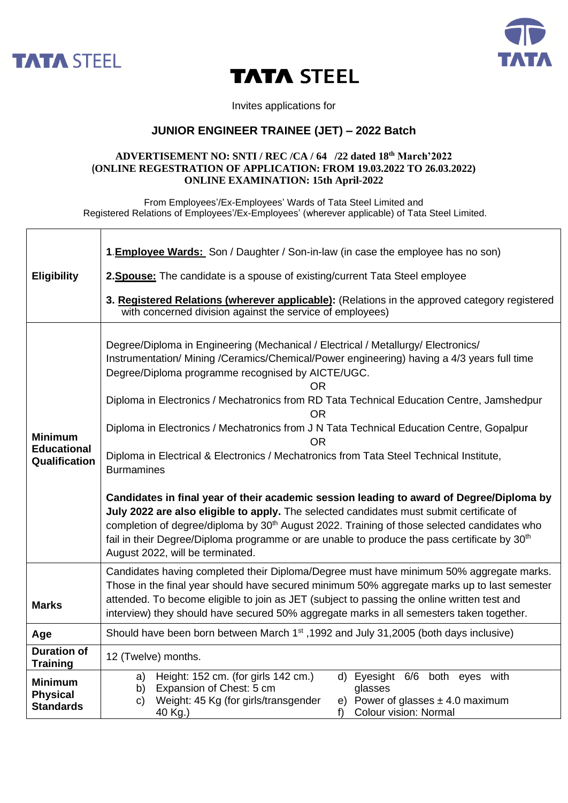

 $\Gamma$ 



## **TATA STEEL**

Invites applications for

## **JUNIOR ENGINEER TRAINEE (JET) – 2022 Batch**

## **ADVERTISEMENT NO: SNTI / REC /CA / 64 /22 dated 18 th March'2022 (ONLINE REGESTRATION OF APPLICATION: FROM 19.03.2022 TO 26.03.2022) ONLINE EXAMINATION: 15th April-2022**

From Employees'/Ex-Employees' Wards of Tata Steel Limited and Registered Relations of Employees'/Ex-Employees' (wherever applicable) of Tata Steel Limited.

| <b>Eligibility</b>                                    | <b>1. Employee Wards:</b> Son / Daughter / Son-in-law (in case the employee has no son)                                                                                                                                                                                                                                                                                                                                                                                                                                                                                                                                                                                                                                                                                                                                                                                                                                                                                                                                           |
|-------------------------------------------------------|-----------------------------------------------------------------------------------------------------------------------------------------------------------------------------------------------------------------------------------------------------------------------------------------------------------------------------------------------------------------------------------------------------------------------------------------------------------------------------------------------------------------------------------------------------------------------------------------------------------------------------------------------------------------------------------------------------------------------------------------------------------------------------------------------------------------------------------------------------------------------------------------------------------------------------------------------------------------------------------------------------------------------------------|
|                                                       | 2. Spouse: The candidate is a spouse of existing/current Tata Steel employee                                                                                                                                                                                                                                                                                                                                                                                                                                                                                                                                                                                                                                                                                                                                                                                                                                                                                                                                                      |
|                                                       | 3. Registered Relations (wherever applicable): (Relations in the approved category registered<br>with concerned division against the service of employees)                                                                                                                                                                                                                                                                                                                                                                                                                                                                                                                                                                                                                                                                                                                                                                                                                                                                        |
| <b>Minimum</b><br><b>Educational</b><br>Qualification | Degree/Diploma in Engineering (Mechanical / Electrical / Metallurgy/ Electronics/<br>Instrumentation/ Mining /Ceramics/Chemical/Power engineering) having a 4/3 years full time<br>Degree/Diploma programme recognised by AICTE/UGC.<br>OR.<br>Diploma in Electronics / Mechatronics from RD Tata Technical Education Centre, Jamshedpur<br><b>OR</b><br>Diploma in Electronics / Mechatronics from J N Tata Technical Education Centre, Gopalpur<br><b>OR</b><br>Diploma in Electrical & Electronics / Mechatronics from Tata Steel Technical Institute,<br><b>Burmamines</b><br>Candidates in final year of their academic session leading to award of Degree/Diploma by<br>July 2022 are also eligible to apply. The selected candidates must submit certificate of<br>completion of degree/diploma by 30 <sup>th</sup> August 2022. Training of those selected candidates who<br>fail in their Degree/Diploma programme or are unable to produce the pass certificate by 30 <sup>th</sup><br>August 2022, will be terminated. |
| <b>Marks</b>                                          | Candidates having completed their Diploma/Degree must have minimum 50% aggregate marks.<br>Those in the final year should have secured minimum 50% aggregate marks up to last semester<br>attended. To become eligible to join as JET (subject to passing the online written test and<br>interview) they should have secured 50% aggregate marks in all semesters taken together.                                                                                                                                                                                                                                                                                                                                                                                                                                                                                                                                                                                                                                                 |
| Age                                                   | Should have been born between March 1 <sup>st</sup> , 1992 and July 31, 2005 (both days inclusive)                                                                                                                                                                                                                                                                                                                                                                                                                                                                                                                                                                                                                                                                                                                                                                                                                                                                                                                                |
| <b>Duration of</b><br><b>Training</b>                 | 12 (Twelve) months.                                                                                                                                                                                                                                                                                                                                                                                                                                                                                                                                                                                                                                                                                                                                                                                                                                                                                                                                                                                                               |
| <b>Minimum</b><br><b>Physical</b><br><b>Standards</b> | Height: 152 cm. (for girls 142 cm.)<br>6/6 both eyes with<br>d) Eyesight<br>a)<br>Expansion of Chest: 5 cm<br>glasses<br>b)<br>e) Power of glasses $\pm$ 4.0 maximum<br>Weight: 45 Kg (for girls/transgender<br>C)<br>Colour vision: Normal<br>40 Kg.)<br>f                                                                                                                                                                                                                                                                                                                                                                                                                                                                                                                                                                                                                                                                                                                                                                       |